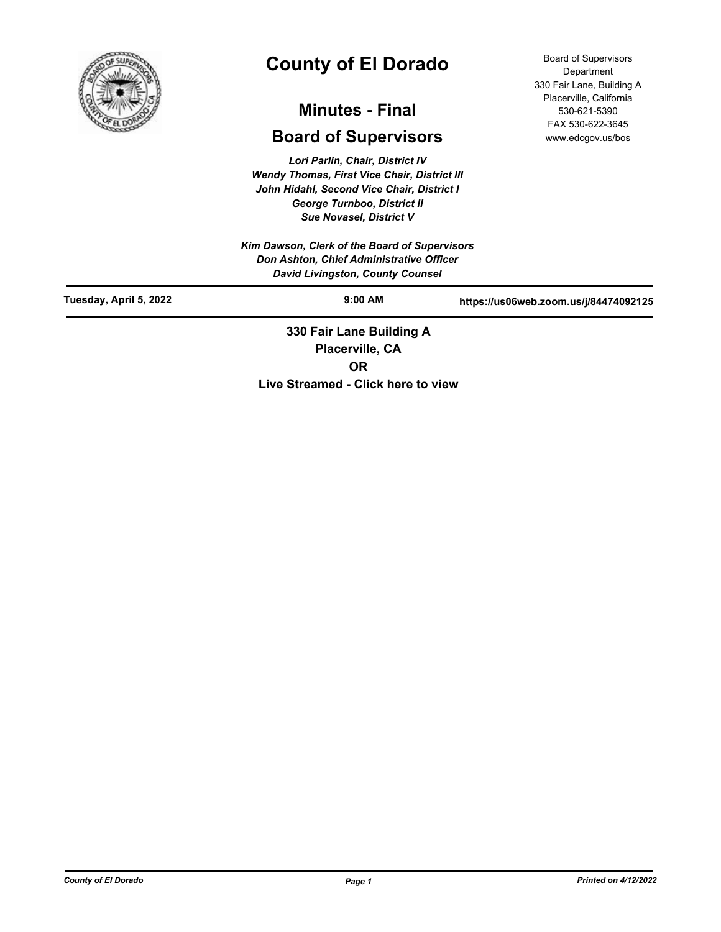

# **County of El Dorado**

## **Minutes - Final**

## **Board of Supervisors**

*Lori Parlin, Chair, District IV Wendy Thomas, First Vice Chair, District III John Hidahl, Second Vice Chair, District I George Turnboo, District II Sue Novasel, District V*

*Kim Dawson, Clerk of the Board of Supervisors Don Ashton, Chief Administrative Officer David Livingston, County Counsel*

Board of Supervisors **Department** 330 Fair Lane, Building A Placerville, California 530-621-5390 FAX 530-622-3645 www.edcgov.us/bos

| Tuesday, April 5, 2022 | $9:00$ AM                | https://us06web.zoom.us/j/84474092125 |
|------------------------|--------------------------|---------------------------------------|
|                        | 330 Fair Lane Building A |                                       |

**Placerville, CA OR Live Streamed - Click here to view**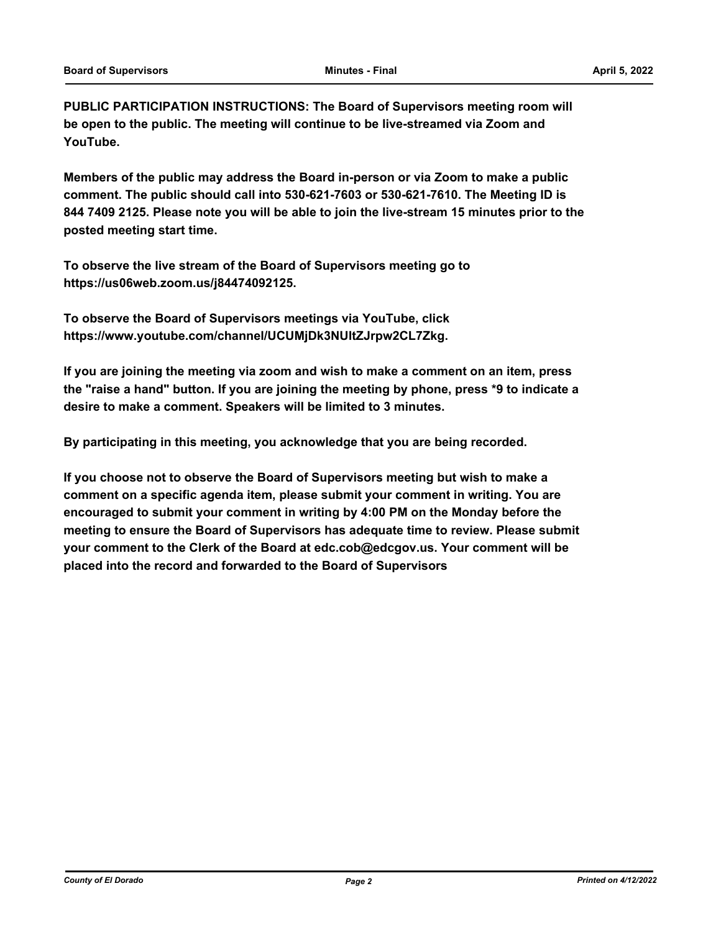**PUBLIC PARTICIPATION INSTRUCTIONS: The Board of Supervisors meeting room will be open to the public. The meeting will continue to be live-streamed via Zoom and YouTube.**

**Members of the public may address the Board in-person or via Zoom to make a public comment. The public should call into 530-621-7603 or 530-621-7610. The Meeting ID is 844 7409 2125. Please note you will be able to join the live-stream 15 minutes prior to the posted meeting start time.**

**To observe the live stream of the Board of Supervisors meeting go to https://us06web.zoom.us/j84474092125.**

**To observe the Board of Supervisors meetings via YouTube, click https://www.youtube.com/channel/UCUMjDk3NUltZJrpw2CL7Zkg.**

**If you are joining the meeting via zoom and wish to make a comment on an item, press the "raise a hand" button. If you are joining the meeting by phone, press \*9 to indicate a desire to make a comment. Speakers will be limited to 3 minutes.**

**By participating in this meeting, you acknowledge that you are being recorded.**

**If you choose not to observe the Board of Supervisors meeting but wish to make a comment on a specific agenda item, please submit your comment in writing. You are encouraged to submit your comment in writing by 4:00 PM on the Monday before the meeting to ensure the Board of Supervisors has adequate time to review. Please submit your comment to the Clerk of the Board at edc.cob@edcgov.us. Your comment will be placed into the record and forwarded to the Board of Supervisors**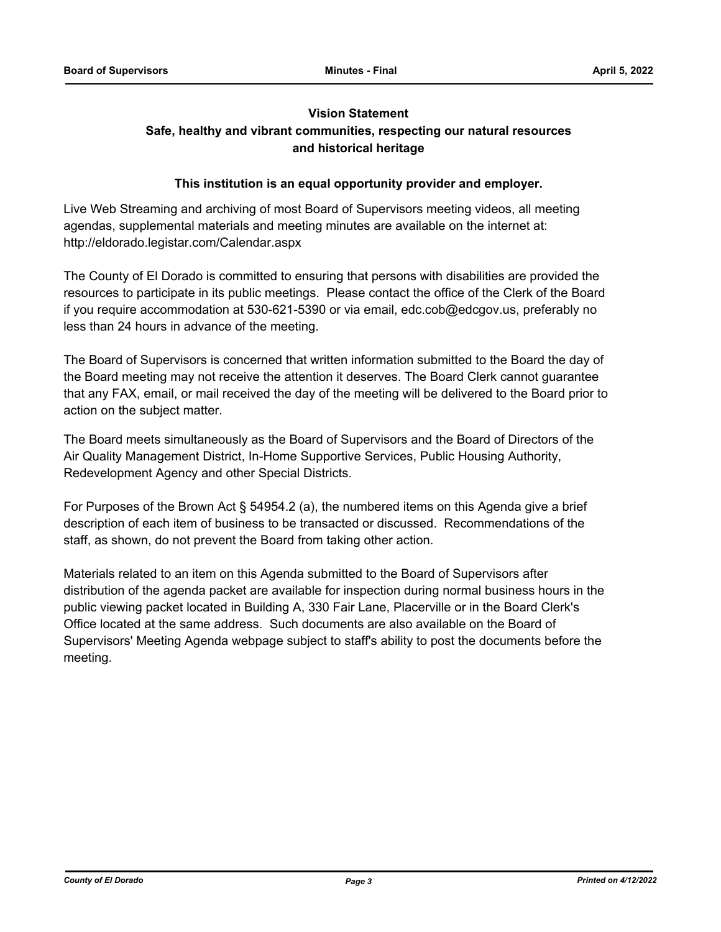# **Vision Statement**

### **Safe, healthy and vibrant communities, respecting our natural resources and historical heritage**

### **This institution is an equal opportunity provider and employer.**

Live Web Streaming and archiving of most Board of Supervisors meeting videos, all meeting agendas, supplemental materials and meeting minutes are available on the internet at: http://eldorado.legistar.com/Calendar.aspx

The County of El Dorado is committed to ensuring that persons with disabilities are provided the resources to participate in its public meetings. Please contact the office of the Clerk of the Board if you require accommodation at 530-621-5390 or via email, edc.cob@edcgov.us, preferably no less than 24 hours in advance of the meeting.

The Board of Supervisors is concerned that written information submitted to the Board the day of the Board meeting may not receive the attention it deserves. The Board Clerk cannot guarantee that any FAX, email, or mail received the day of the meeting will be delivered to the Board prior to action on the subject matter.

The Board meets simultaneously as the Board of Supervisors and the Board of Directors of the Air Quality Management District, In-Home Supportive Services, Public Housing Authority, Redevelopment Agency and other Special Districts.

For Purposes of the Brown Act § 54954.2 (a), the numbered items on this Agenda give a brief description of each item of business to be transacted or discussed. Recommendations of the staff, as shown, do not prevent the Board from taking other action.

Materials related to an item on this Agenda submitted to the Board of Supervisors after distribution of the agenda packet are available for inspection during normal business hours in the public viewing packet located in Building A, 330 Fair Lane, Placerville or in the Board Clerk's Office located at the same address. Such documents are also available on the Board of Supervisors' Meeting Agenda webpage subject to staff's ability to post the documents before the meeting.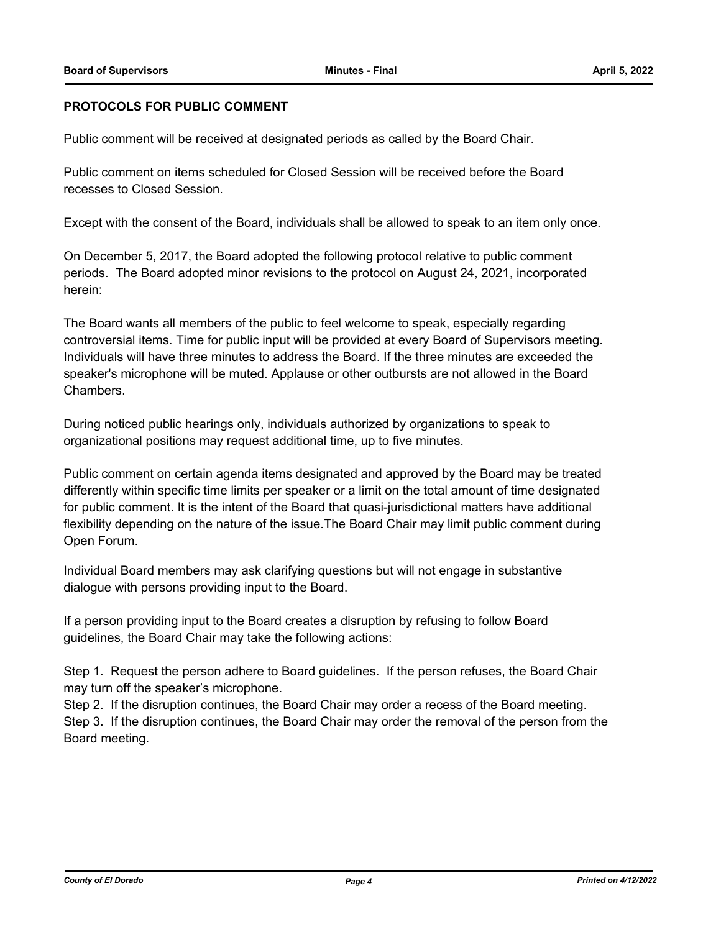### **PROTOCOLS FOR PUBLIC COMMENT**

Public comment will be received at designated periods as called by the Board Chair.

Public comment on items scheduled for Closed Session will be received before the Board recesses to Closed Session.

Except with the consent of the Board, individuals shall be allowed to speak to an item only once.

On December 5, 2017, the Board adopted the following protocol relative to public comment periods. The Board adopted minor revisions to the protocol on August 24, 2021, incorporated herein:

The Board wants all members of the public to feel welcome to speak, especially regarding controversial items. Time for public input will be provided at every Board of Supervisors meeting. Individuals will have three minutes to address the Board. If the three minutes are exceeded the speaker's microphone will be muted. Applause or other outbursts are not allowed in the Board Chambers.

During noticed public hearings only, individuals authorized by organizations to speak to organizational positions may request additional time, up to five minutes.

Public comment on certain agenda items designated and approved by the Board may be treated differently within specific time limits per speaker or a limit on the total amount of time designated for public comment. It is the intent of the Board that quasi-jurisdictional matters have additional flexibility depending on the nature of the issue.The Board Chair may limit public comment during Open Forum.

Individual Board members may ask clarifying questions but will not engage in substantive dialogue with persons providing input to the Board.

If a person providing input to the Board creates a disruption by refusing to follow Board guidelines, the Board Chair may take the following actions:

Step 1. Request the person adhere to Board guidelines. If the person refuses, the Board Chair may turn off the speaker's microphone.

Step 2. If the disruption continues, the Board Chair may order a recess of the Board meeting. Step 3. If the disruption continues, the Board Chair may order the removal of the person from the Board meeting.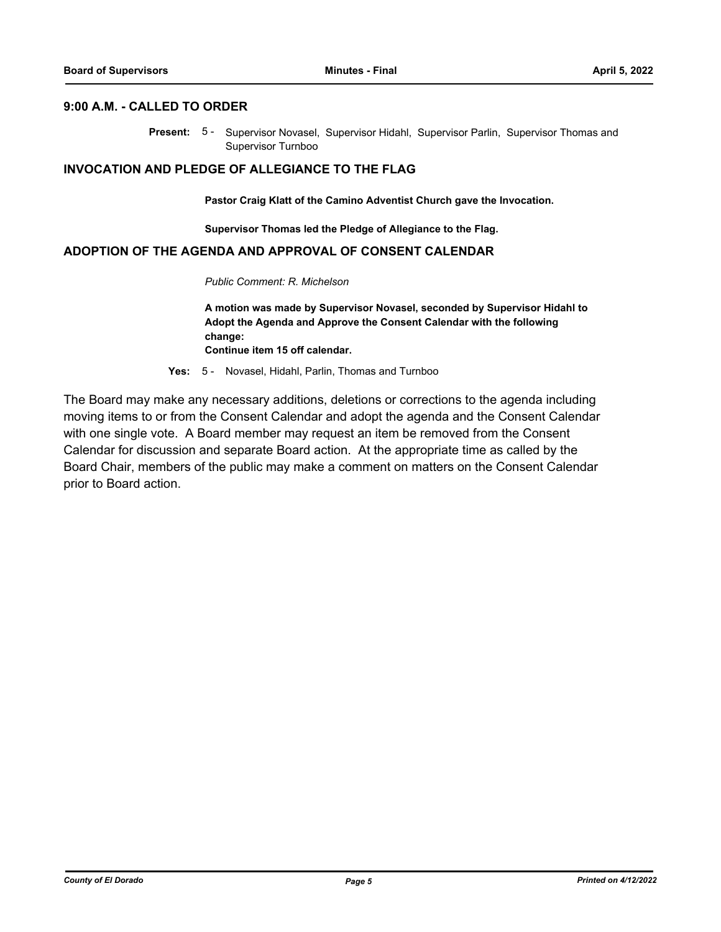### **9:00 A.M. - CALLED TO ORDER**

Present: 5- Supervisor Novasel, Supervisor Hidahl, Supervisor Parlin, Supervisor Thomas and Supervisor Turnboo

### **INVOCATION AND PLEDGE OF ALLEGIANCE TO THE FLAG**

**Pastor Craig Klatt of the Camino Adventist Church gave the Invocation.**

**Supervisor Thomas led the Pledge of Allegiance to the Flag.**

### **ADOPTION OF THE AGENDA AND APPROVAL OF CONSENT CALENDAR**

*Public Comment: R. Michelson*

**A motion was made by Supervisor Novasel, seconded by Supervisor Hidahl to Adopt the Agenda and Approve the Consent Calendar with the following change:**

**Continue item 15 off calendar.**

**Yes:** 5 - Novasel, Hidahl, Parlin, Thomas and Turnboo

The Board may make any necessary additions, deletions or corrections to the agenda including moving items to or from the Consent Calendar and adopt the agenda and the Consent Calendar with one single vote. A Board member may request an item be removed from the Consent Calendar for discussion and separate Board action. At the appropriate time as called by the Board Chair, members of the public may make a comment on matters on the Consent Calendar prior to Board action.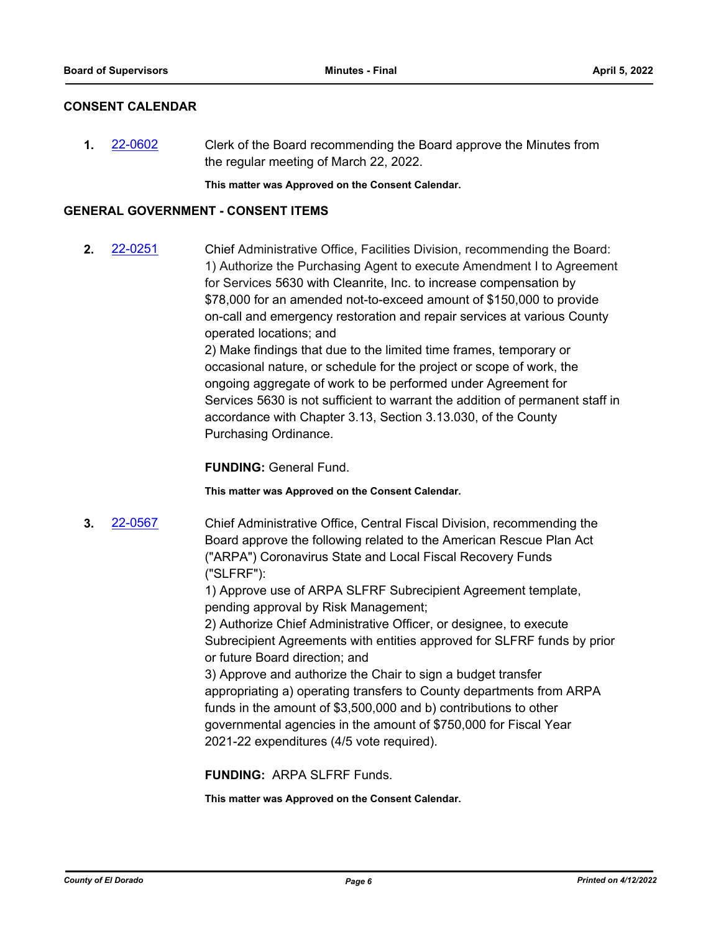### **CONSENT CALENDAR**

**1.** [22-0602](http://eldorado.legistar.com/gateway.aspx?m=l&id=/matter.aspx?key=31503) Clerk of the Board recommending the Board approve the Minutes from the regular meeting of March 22, 2022.

**This matter was Approved on the Consent Calendar.**

### **GENERAL GOVERNMENT - CONSENT ITEMS**

**2.** [22-0251](http://eldorado.legistar.com/gateway.aspx?m=l&id=/matter.aspx?key=31152) Chief Administrative Office, Facilities Division, recommending the Board: 1) Authorize the Purchasing Agent to execute Amendment I to Agreement for Services 5630 with Cleanrite, Inc. to increase compensation by \$78,000 for an amended not-to-exceed amount of \$150,000 to provide on-call and emergency restoration and repair services at various County operated locations; and 2) Make findings that due to the limited time frames, temporary or

occasional nature, or schedule for the project or scope of work, the ongoing aggregate of work to be performed under Agreement for Services 5630 is not sufficient to warrant the addition of permanent staff in accordance with Chapter 3.13, Section 3.13.030, of the County Purchasing Ordinance.

**FUNDING:** General Fund.

**This matter was Approved on the Consent Calendar.**

**3.** [22-0567](http://eldorado.legistar.com/gateway.aspx?m=l&id=/matter.aspx?key=31468) Chief Administrative Office, Central Fiscal Division, recommending the Board approve the following related to the American Rescue Plan Act ("ARPA") Coronavirus State and Local Fiscal Recovery Funds ("SLFRF"):

> 1) Approve use of ARPA SLFRF Subrecipient Agreement template, pending approval by Risk Management;

2) Authorize Chief Administrative Officer, or designee, to execute Subrecipient Agreements with entities approved for SLFRF funds by prior or future Board direction; and

3) Approve and authorize the Chair to sign a budget transfer appropriating a) operating transfers to County departments from ARPA funds in the amount of \$3,500,000 and b) contributions to other governmental agencies in the amount of \$750,000 for Fiscal Year 2021-22 expenditures (4/5 vote required).

**FUNDING:** ARPA SLFRF Funds.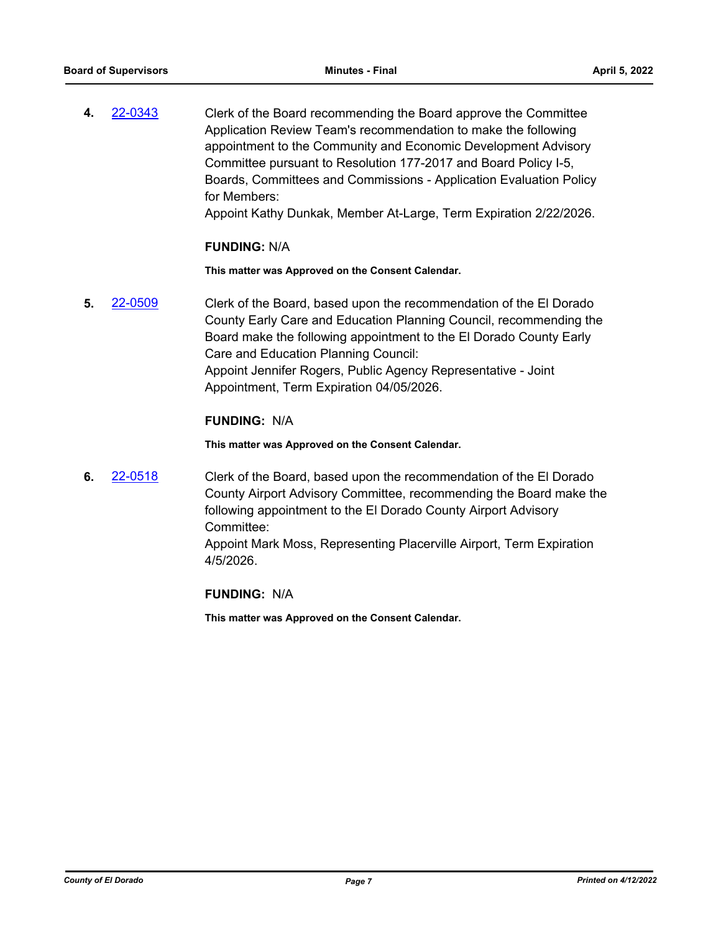**4.** [22-0343](http://eldorado.legistar.com/gateway.aspx?m=l&id=/matter.aspx?key=31244) Clerk of the Board recommending the Board approve the Committee Application Review Team's recommendation to make the following appointment to the Community and Economic Development Advisory Committee pursuant to Resolution 177-2017 and Board Policy I-5, Boards, Committees and Commissions - Application Evaluation Policy for Members:

Appoint Kathy Dunkak, Member At-Large, Term Expiration 2/22/2026.

### **FUNDING:** N/A

**This matter was Approved on the Consent Calendar.**

**5.** [22-0509](http://eldorado.legistar.com/gateway.aspx?m=l&id=/matter.aspx?key=31410) Clerk of the Board, based upon the recommendation of the El Dorado County Early Care and Education Planning Council, recommending the Board make the following appointment to the El Dorado County Early Care and Education Planning Council: Appoint Jennifer Rogers, Public Agency Representative - Joint Appointment, Term Expiration 04/05/2026.

### **FUNDING:** N/A

**This matter was Approved on the Consent Calendar.**

**6.** [22-0518](http://eldorado.legistar.com/gateway.aspx?m=l&id=/matter.aspx?key=31419) Clerk of the Board, based upon the recommendation of the El Dorado County Airport Advisory Committee, recommending the Board make the following appointment to the El Dorado County Airport Advisory Committee:

> Appoint Mark Moss, Representing Placerville Airport, Term Expiration 4/5/2026.

### **FUNDING:** N/A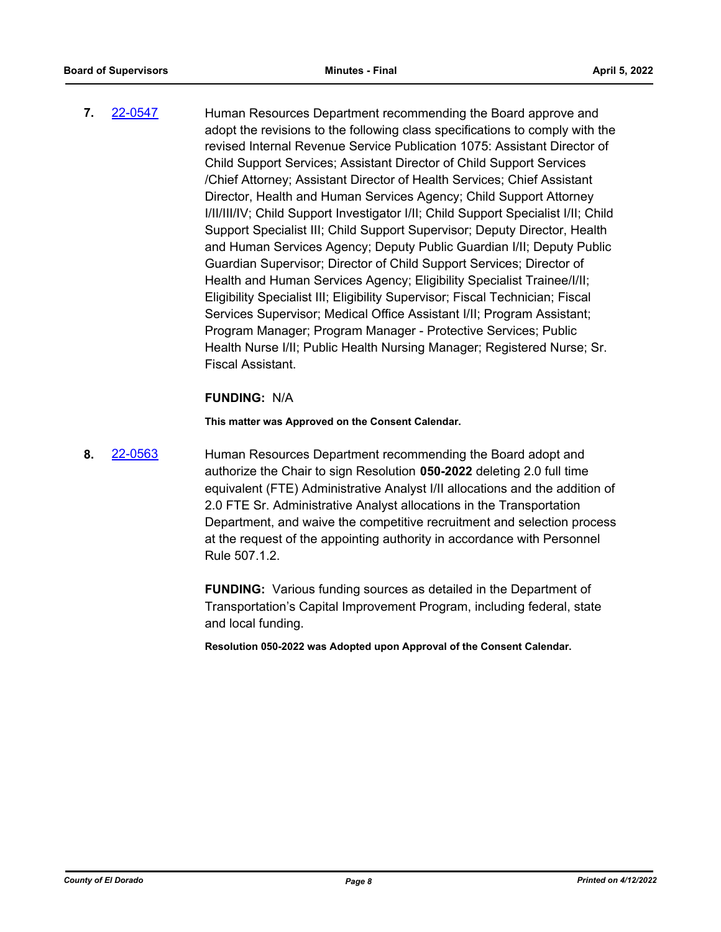**7.** [22-0547](http://eldorado.legistar.com/gateway.aspx?m=l&id=/matter.aspx?key=31448) Human Resources Department recommending the Board approve and adopt the revisions to the following class specifications to comply with the revised Internal Revenue Service Publication 1075: Assistant Director of Child Support Services; Assistant Director of Child Support Services /Chief Attorney; Assistant Director of Health Services; Chief Assistant Director, Health and Human Services Agency; Child Support Attorney I/II/III/IV; Child Support Investigator I/II; Child Support Specialist I/II; Child Support Specialist III; Child Support Supervisor; Deputy Director, Health and Human Services Agency; Deputy Public Guardian I/II; Deputy Public Guardian Supervisor; Director of Child Support Services; Director of Health and Human Services Agency; Eligibility Specialist Trainee/I/II; Eligibility Specialist III; Eligibility Supervisor; Fiscal Technician; Fiscal Services Supervisor; Medical Office Assistant I/II; Program Assistant; Program Manager; Program Manager - Protective Services; Public Health Nurse I/II; Public Health Nursing Manager; Registered Nurse; Sr. Fiscal Assistant.

### **FUNDING:** N/A

**This matter was Approved on the Consent Calendar.**

**8.** [22-0563](http://eldorado.legistar.com/gateway.aspx?m=l&id=/matter.aspx?key=31464) Human Resources Department recommending the Board adopt and authorize the Chair to sign Resolution **050-2022** deleting 2.0 full time equivalent (FTE) Administrative Analyst I/II allocations and the addition of 2.0 FTE Sr. Administrative Analyst allocations in the Transportation Department, and waive the competitive recruitment and selection process at the request of the appointing authority in accordance with Personnel Rule 507.1.2.

> **FUNDING:** Various funding sources as detailed in the Department of Transportation's Capital Improvement Program, including federal, state and local funding.

**Resolution 050-2022 was Adopted upon Approval of the Consent Calendar.**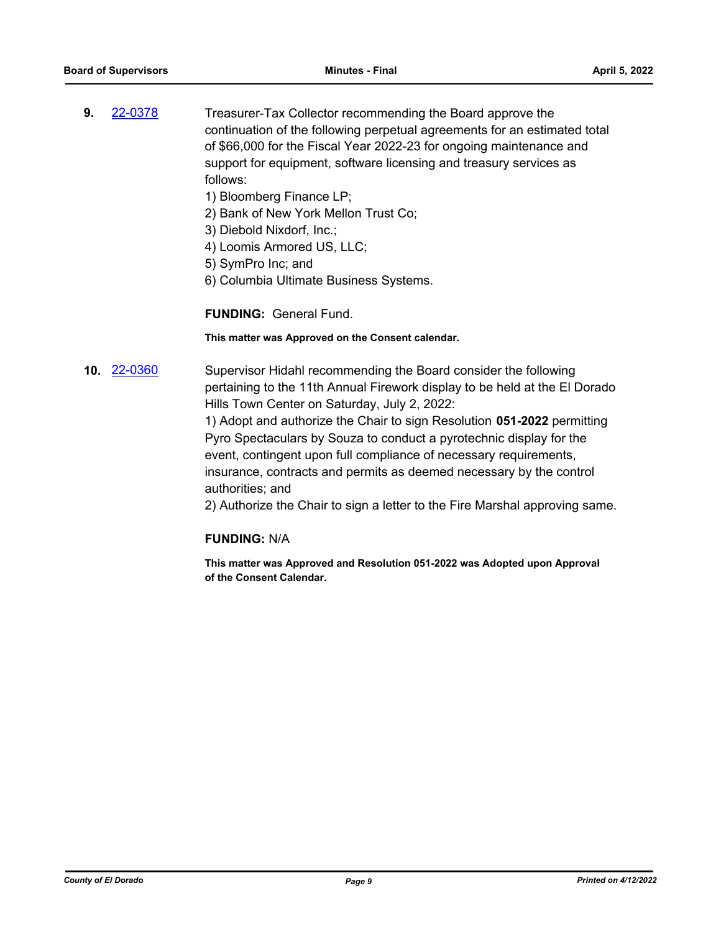- **9.** [22-0378](http://eldorado.legistar.com/gateway.aspx?m=l&id=/matter.aspx?key=31279) Treasurer-Tax Collector recommending the Board approve the continuation of the following perpetual agreements for an estimated total of \$66,000 for the Fiscal Year 2022-23 for ongoing maintenance and support for equipment, software licensing and treasury services as follows:
	- 1) Bloomberg Finance LP;
	- 2) Bank of New York Mellon Trust Co;
	- 3) Diebold Nixdorf, Inc.;
	- 4) Loomis Armored US, LLC;
	- 5) SymPro Inc; and
	- 6) Columbia Ultimate Business Systems.

**FUNDING:** General Fund.

**This matter was Approved on the Consent calendar.**

**10.** [22-0360](http://eldorado.legistar.com/gateway.aspx?m=l&id=/matter.aspx?key=31261) Supervisor Hidahl recommending the Board consider the following pertaining to the 11th Annual Firework display to be held at the El Dorado Hills Town Center on Saturday, July 2, 2022:

> 1) Adopt and authorize the Chair to sign Resolution **051-2022** permitting Pyro Spectaculars by Souza to conduct a pyrotechnic display for the event, contingent upon full compliance of necessary requirements, insurance, contracts and permits as deemed necessary by the control authorities; and

2) Authorize the Chair to sign a letter to the Fire Marshal approving same.

### **FUNDING:** N/A

**This matter was Approved and Resolution 051-2022 was Adopted upon Approval of the Consent Calendar.**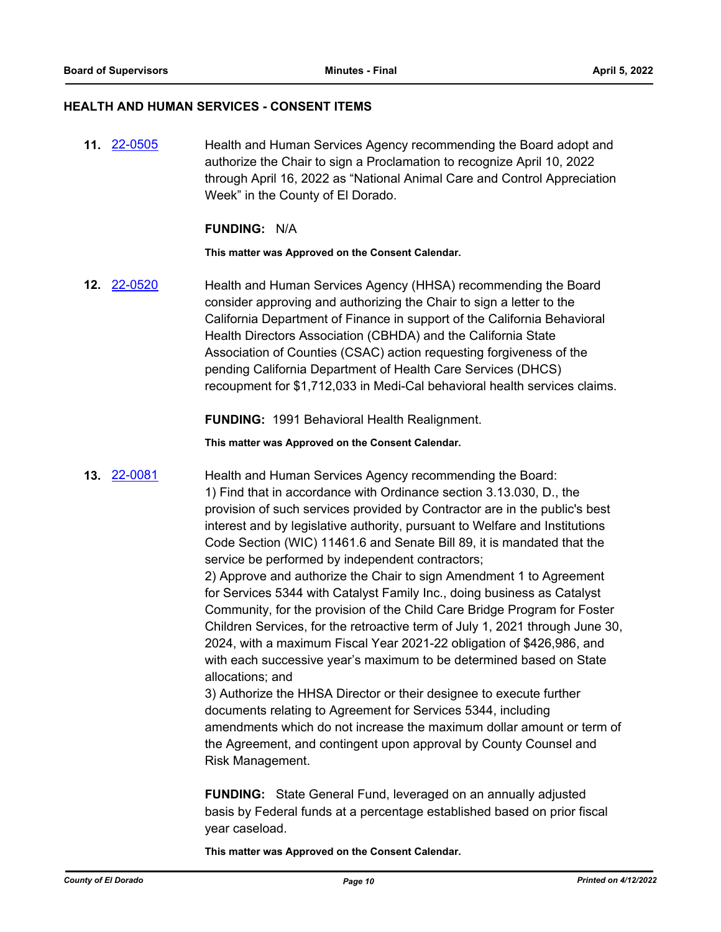### **HEALTH AND HUMAN SERVICES - CONSENT ITEMS**

**11.** [22-0505](http://eldorado.legistar.com/gateway.aspx?m=l&id=/matter.aspx?key=31406) Health and Human Services Agency recommending the Board adopt and authorize the Chair to sign a Proclamation to recognize April 10, 2022 through April 16, 2022 as "National Animal Care and Control Appreciation Week" in the County of El Dorado.

### **FUNDING:** N/A

### **This matter was Approved on the Consent Calendar.**

**12.** [22-0520](http://eldorado.legistar.com/gateway.aspx?m=l&id=/matter.aspx?key=31421) Health and Human Services Agency (HHSA) recommending the Board consider approving and authorizing the Chair to sign a letter to the California Department of Finance in support of the California Behavioral Health Directors Association (CBHDA) and the California State Association of Counties (CSAC) action requesting forgiveness of the pending California Department of Health Care Services (DHCS) recoupment for \$1,712,033 in Medi-Cal behavioral health services claims.

**FUNDING:** 1991 Behavioral Health Realignment.

**This matter was Approved on the Consent Calendar.**

**13.** [22-0081](http://eldorado.legistar.com/gateway.aspx?m=l&id=/matter.aspx?key=30981) Health and Human Services Agency recommending the Board: 1) Find that in accordance with Ordinance section 3.13.030, D., the provision of such services provided by Contractor are in the public's best interest and by legislative authority, pursuant to Welfare and Institutions Code Section (WIC) 11461.6 and Senate Bill 89, it is mandated that the service be performed by independent contractors; 2) Approve and authorize the Chair to sign Amendment 1 to Agreement

for Services 5344 with Catalyst Family Inc., doing business as Catalyst Community, for the provision of the Child Care Bridge Program for Foster Children Services, for the retroactive term of July 1, 2021 through June 30, 2024, with a maximum Fiscal Year 2021-22 obligation of \$426,986, and with each successive year's maximum to be determined based on State allocations; and

3) Authorize the HHSA Director or their designee to execute further documents relating to Agreement for Services 5344, including amendments which do not increase the maximum dollar amount or term of the Agreement, and contingent upon approval by County Counsel and Risk Management.

**FUNDING:** State General Fund, leveraged on an annually adjusted basis by Federal funds at a percentage established based on prior fiscal year caseload.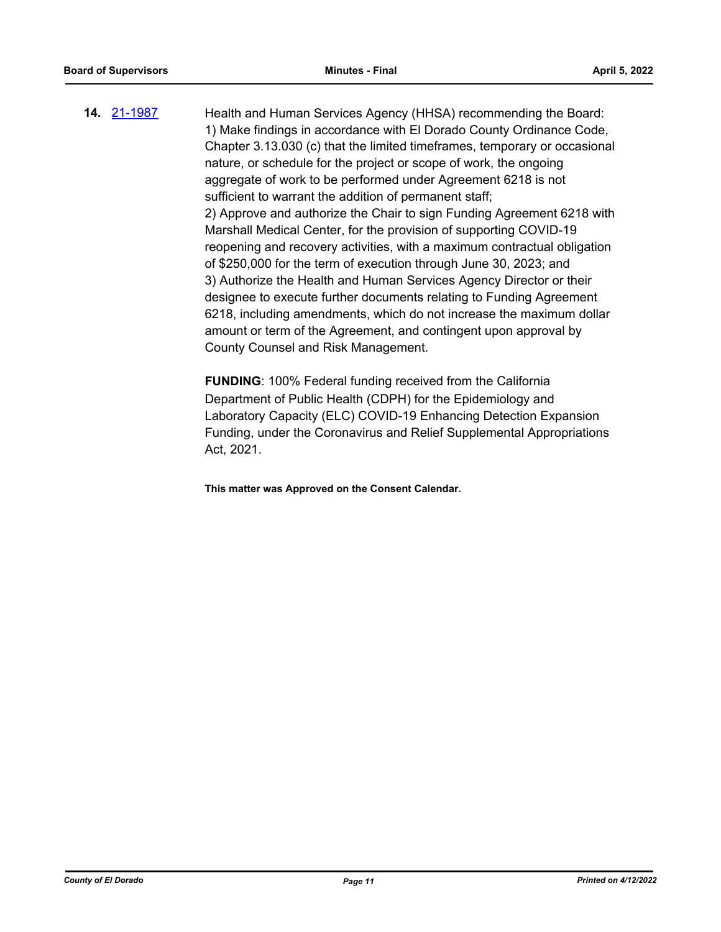**14.** [21-1987](http://eldorado.legistar.com/gateway.aspx?m=l&id=/matter.aspx?key=30883) Health and Human Services Agency (HHSA) recommending the Board: 1) Make findings in accordance with El Dorado County Ordinance Code, Chapter 3.13.030 (c) that the limited timeframes, temporary or occasional nature, or schedule for the project or scope of work, the ongoing aggregate of work to be performed under Agreement 6218 is not sufficient to warrant the addition of permanent staff; 2) Approve and authorize the Chair to sign Funding Agreement 6218 with Marshall Medical Center, for the provision of supporting COVID-19 reopening and recovery activities, with a maximum contractual obligation of \$250,000 for the term of execution through June 30, 2023; and 3) Authorize the Health and Human Services Agency Director or their designee to execute further documents relating to Funding Agreement 6218, including amendments, which do not increase the maximum dollar amount or term of the Agreement, and contingent upon approval by County Counsel and Risk Management.

> **FUNDING**: 100% Federal funding received from the California Department of Public Health (CDPH) for the Epidemiology and Laboratory Capacity (ELC) COVID-19 Enhancing Detection Expansion Funding, under the Coronavirus and Relief Supplemental Appropriations Act, 2021.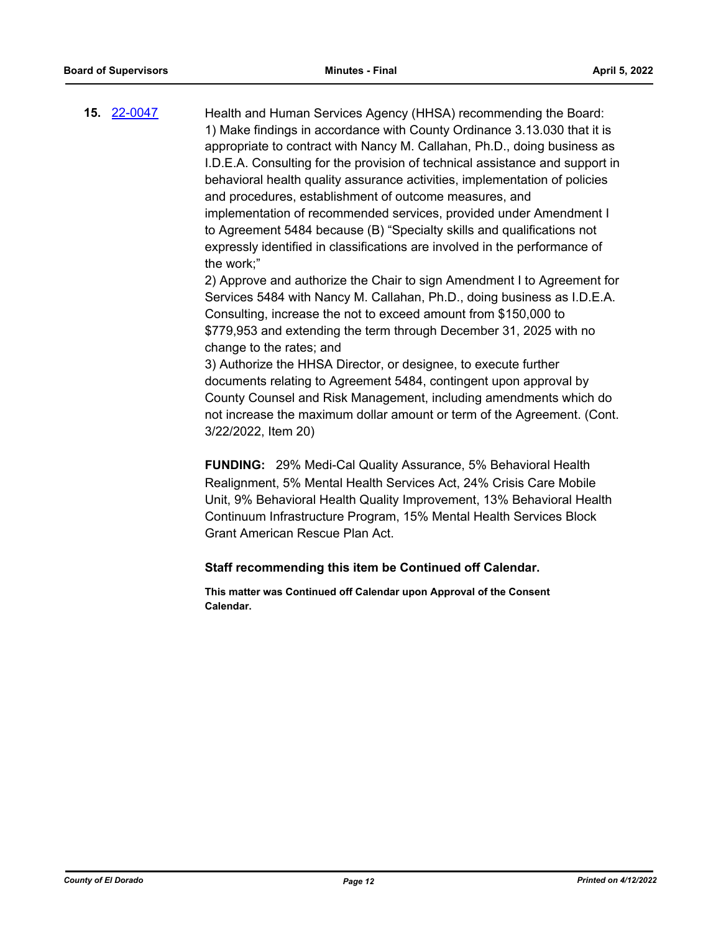**15.** [22-0047](http://eldorado.legistar.com/gateway.aspx?m=l&id=/matter.aspx?key=30947) Health and Human Services Agency (HHSA) recommending the Board: 1) Make findings in accordance with County Ordinance 3.13.030 that it is appropriate to contract with Nancy M. Callahan, Ph.D., doing business as I.D.E.A. Consulting for the provision of technical assistance and support in behavioral health quality assurance activities, implementation of policies and procedures, establishment of outcome measures, and implementation of recommended services, provided under Amendment I to Agreement 5484 because (B) "Specialty skills and qualifications not expressly identified in classifications are involved in the performance of the work;"

2) Approve and authorize the Chair to sign Amendment I to Agreement for Services 5484 with Nancy M. Callahan, Ph.D., doing business as I.D.E.A. Consulting, increase the not to exceed amount from \$150,000 to \$779,953 and extending the term through December 31, 2025 with no change to the rates; and

3) Authorize the HHSA Director, or designee, to execute further documents relating to Agreement 5484, contingent upon approval by County Counsel and Risk Management, including amendments which do not increase the maximum dollar amount or term of the Agreement. (Cont. 3/22/2022, Item 20)

**FUNDING:** 29% Medi-Cal Quality Assurance, 5% Behavioral Health Realignment, 5% Mental Health Services Act, 24% Crisis Care Mobile Unit, 9% Behavioral Health Quality Improvement, 13% Behavioral Health Continuum Infrastructure Program, 15% Mental Health Services Block Grant American Rescue Plan Act.

### **Staff recommending this item be Continued off Calendar.**

**This matter was Continued off Calendar upon Approval of the Consent Calendar.**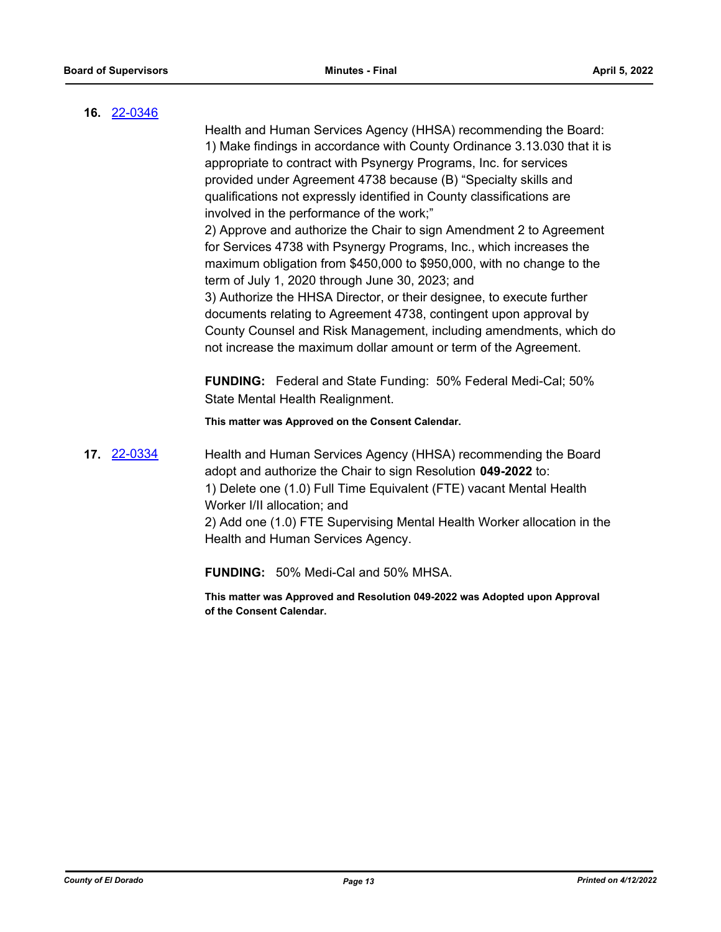### **16.** [22-0346](http://eldorado.legistar.com/gateway.aspx?m=l&id=/matter.aspx?key=31247)

Health and Human Services Agency (HHSA) recommending the Board: 1) Make findings in accordance with County Ordinance 3.13.030 that it is appropriate to contract with Psynergy Programs, Inc. for services provided under Agreement 4738 because (B) "Specialty skills and qualifications not expressly identified in County classifications are involved in the performance of the work;"

2) Approve and authorize the Chair to sign Amendment 2 to Agreement for Services 4738 with Psynergy Programs, Inc., which increases the maximum obligation from \$450,000 to \$950,000, with no change to the term of July 1, 2020 through June 30, 2023; and

3) Authorize the HHSA Director, or their designee, to execute further documents relating to Agreement 4738, contingent upon approval by County Counsel and Risk Management, including amendments, which do not increase the maximum dollar amount or term of the Agreement.

**FUNDING:** Federal and State Funding: 50% Federal Medi-Cal; 50% State Mental Health Realignment.

**This matter was Approved on the Consent Calendar.**

**17.** [22-0334](http://eldorado.legistar.com/gateway.aspx?m=l&id=/matter.aspx?key=31235) Health and Human Services Agency (HHSA) recommending the Board adopt and authorize the Chair to sign Resolution **049-2022** to: 1) Delete one (1.0) Full Time Equivalent (FTE) vacant Mental Health Worker I/II allocation; and 2) Add one (1.0) FTE Supervising Mental Health Worker allocation in the Health and Human Services Agency.

**FUNDING:** 50% Medi-Cal and 50% MHSA.

**This matter was Approved and Resolution 049-2022 was Adopted upon Approval of the Consent Calendar.**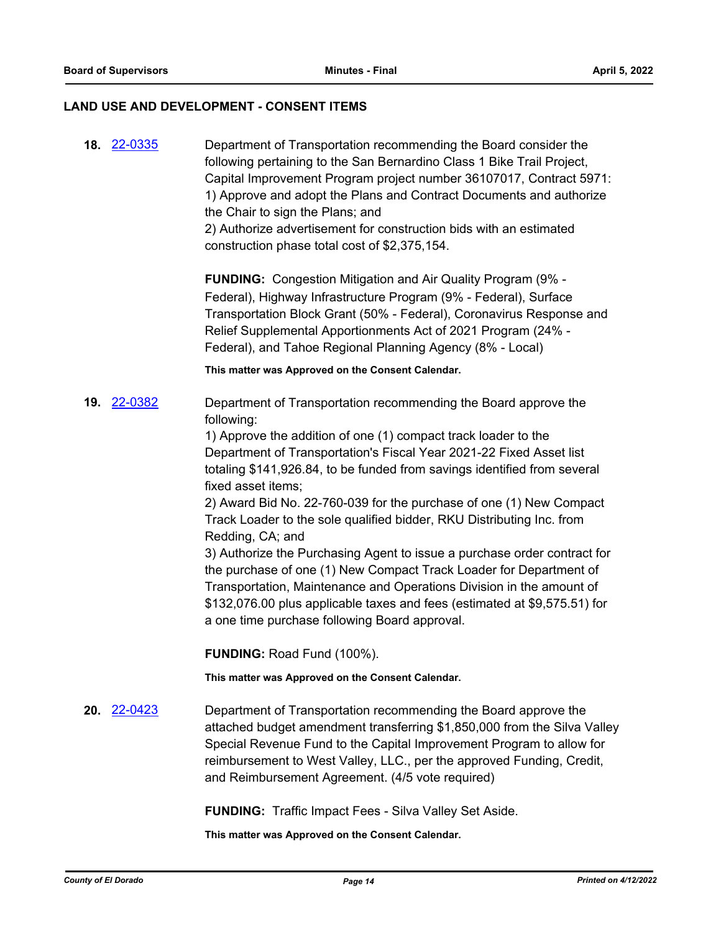### **LAND USE AND DEVELOPMENT - CONSENT ITEMS**

| <b>18. 22-0335</b> | Department of Transportation recommending the Board consider the<br>following pertaining to the San Bernardino Class 1 Bike Trail Project,<br>Capital Improvement Program project number 36107017, Contract 5971:<br>1) Approve and adopt the Plans and Contract Documents and authorize<br>the Chair to sign the Plans; and<br>2) Authorize advertisement for construction bids with an estimated<br>construction phase total cost of \$2,375,154. |
|--------------------|-----------------------------------------------------------------------------------------------------------------------------------------------------------------------------------------------------------------------------------------------------------------------------------------------------------------------------------------------------------------------------------------------------------------------------------------------------|
|                    | <b>FUNDING:</b> Congestion Mitigation and Air Quality Program (9% -<br>Federal), Highway Infrastructure Program (9% - Federal), Surface<br>Transportation Block Grant (50% - Federal), Coronavirus Response and<br>Relief Supplemental Apportionments Act of 2021 Program (24% -<br>Federal), and Tahoe Regional Planning Agency (8% - Local)                                                                                                       |
|                    | This matter was Approved on the Consent Calendar.                                                                                                                                                                                                                                                                                                                                                                                                   |
| 19. 22-0382        | Department of Transportation recommending the Board approve the<br>following:                                                                                                                                                                                                                                                                                                                                                                       |
|                    | 1) Approve the addition of one (1) compact track loader to the<br>Department of Transportation's Fiscal Year 2021-22 Fixed Asset list<br>totaling \$141,926.84, to be funded from savings identified from several<br>fixed asset items;                                                                                                                                                                                                             |
|                    | 2) Award Bid No. 22-760-039 for the purchase of one (1) New Compact<br>Track Loader to the sole qualified bidder, RKU Distributing Inc. from<br>Redding, CA; and                                                                                                                                                                                                                                                                                    |
|                    | 3) Authorize the Purchasing Agent to issue a purchase order contract for<br>the purchase of one (1) New Compact Track Loader for Department of<br>Transportation, Maintenance and Operations Division in the amount of<br>\$132,076.00 plus applicable taxes and fees (estimated at \$9,575.51) for<br>a one time purchase following Board approval.                                                                                                |
|                    | <b>FUNDING: Road Fund (100%).</b>                                                                                                                                                                                                                                                                                                                                                                                                                   |
|                    | This matter was Approved on the Consent Calendar.                                                                                                                                                                                                                                                                                                                                                                                                   |
| 20. 22-0423        | Department of Transportation recommending the Board approve the<br>attached budget amendment transferring \$1,850,000 from the Silva Valley<br>Special Revenue Fund to the Capital Improvement Program to allow for<br>reimbursement to West Valley, LLC., per the approved Funding, Credit,<br>and Reimbursement Agreement. (4/5 vote required)                                                                                                    |

**FUNDING:** Traffic Impact Fees - Silva Valley Set Aside.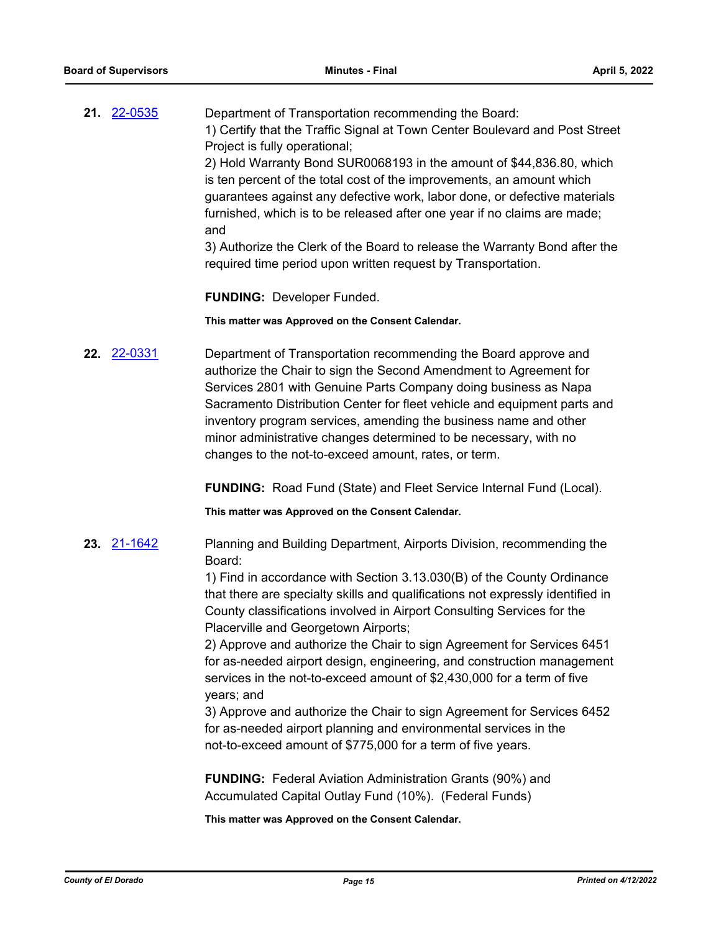**21.** [22-0535](http://eldorado.legistar.com/gateway.aspx?m=l&id=/matter.aspx?key=31436) Department of Transportation recommending the Board: 1) Certify that the Traffic Signal at Town Center Boulevard and Post Street Project is fully operational; 2) Hold Warranty Bond SUR0068193 in the amount of \$44,836.80, which is ten percent of the total cost of the improvements, an amount which

guarantees against any defective work, labor done, or defective materials furnished, which is to be released after one year if no claims are made; and

3) Authorize the Clerk of the Board to release the Warranty Bond after the required time period upon written request by Transportation.

**FUNDING:** Developer Funded.

**This matter was Approved on the Consent Calendar.**

**22.** [22-0331](http://eldorado.legistar.com/gateway.aspx?m=l&id=/matter.aspx?key=31232) Department of Transportation recommending the Board approve and authorize the Chair to sign the Second Amendment to Agreement for Services 2801 with Genuine Parts Company doing business as Napa Sacramento Distribution Center for fleet vehicle and equipment parts and inventory program services, amending the business name and other minor administrative changes determined to be necessary, with no changes to the not-to-exceed amount, rates, or term.

**FUNDING:** Road Fund (State) and Fleet Service Internal Fund (Local).

**This matter was Approved on the Consent Calendar.**

**23.** [21-1642](http://eldorado.legistar.com/gateway.aspx?m=l&id=/matter.aspx?key=30537) Planning and Building Department, Airports Division, recommending the Board:

> 1) Find in accordance with Section 3.13.030(B) of the County Ordinance that there are specialty skills and qualifications not expressly identified in County classifications involved in Airport Consulting Services for the Placerville and Georgetown Airports;

> 2) Approve and authorize the Chair to sign Agreement for Services 6451 for as-needed airport design, engineering, and construction management services in the not-to-exceed amount of \$2,430,000 for a term of five years; and

3) Approve and authorize the Chair to sign Agreement for Services 6452 for as-needed airport planning and environmental services in the not-to-exceed amount of \$775,000 for a term of five years.

**FUNDING:** Federal Aviation Administration Grants (90%) and Accumulated Capital Outlay Fund (10%). (Federal Funds)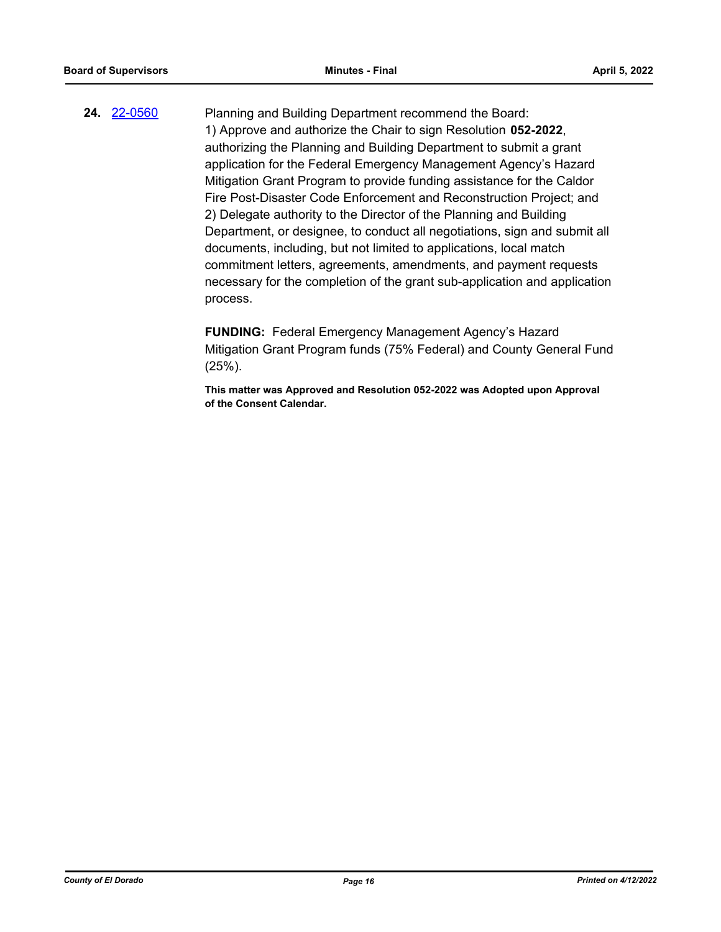**24.** [22-0560](http://eldorado.legistar.com/gateway.aspx?m=l&id=/matter.aspx?key=31461) Planning and Building Department recommend the Board: 1) Approve and authorize the Chair to sign Resolution **052-2022**, authorizing the Planning and Building Department to submit a grant application for the Federal Emergency Management Agency's Hazard Mitigation Grant Program to provide funding assistance for the Caldor Fire Post-Disaster Code Enforcement and Reconstruction Project; and 2) Delegate authority to the Director of the Planning and Building Department, or designee, to conduct all negotiations, sign and submit all documents, including, but not limited to applications, local match commitment letters, agreements, amendments, and payment requests necessary for the completion of the grant sub-application and application process.

> **FUNDING:** Federal Emergency Management Agency's Hazard Mitigation Grant Program funds (75% Federal) and County General Fund (25%).

**This matter was Approved and Resolution 052-2022 was Adopted upon Approval of the Consent Calendar.**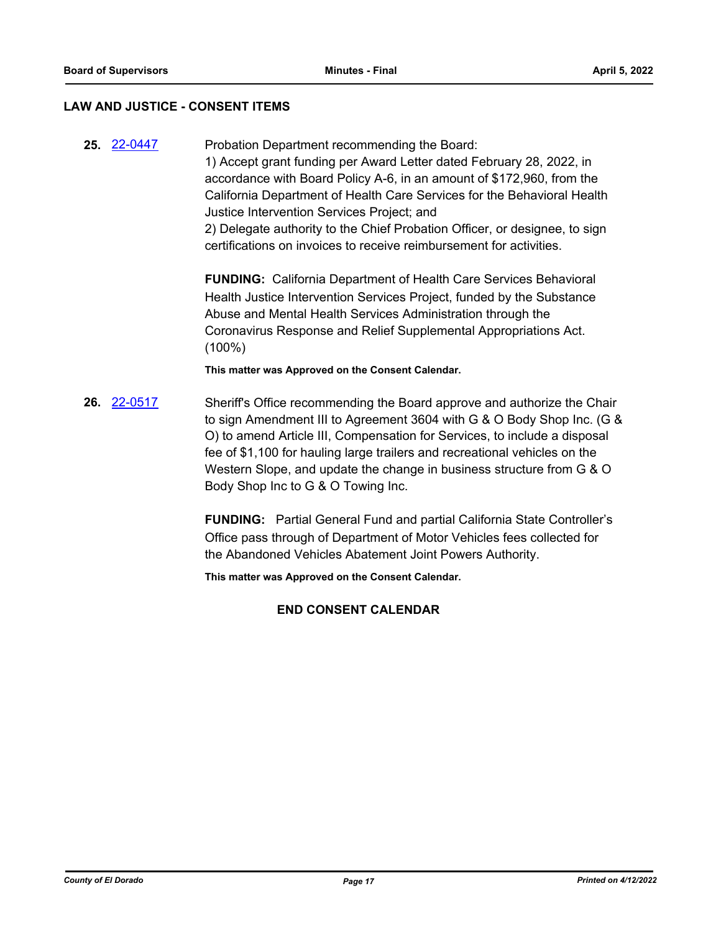### **LAW AND JUSTICE - CONSENT ITEMS**

**25.** [22-0447](http://eldorado.legistar.com/gateway.aspx?m=l&id=/matter.aspx?key=31348) Probation Department recommending the Board: 1) Accept grant funding per Award Letter dated February 28, 2022, in accordance with Board Policy A-6, in an amount of \$172,960, from the California Department of Health Care Services for the Behavioral Health Justice Intervention Services Project; and

> 2) Delegate authority to the Chief Probation Officer, or designee, to sign certifications on invoices to receive reimbursement for activities.

**FUNDING:** California Department of Health Care Services Behavioral Health Justice Intervention Services Project, funded by the Substance Abuse and Mental Health Services Administration through the Coronavirus Response and Relief Supplemental Appropriations Act. (100%)

**This matter was Approved on the Consent Calendar.**

**26.** [22-0517](http://eldorado.legistar.com/gateway.aspx?m=l&id=/matter.aspx?key=31418) Sheriff's Office recommending the Board approve and authorize the Chair to sign Amendment III to Agreement 3604 with G & O Body Shop Inc. (G & O) to amend Article III, Compensation for Services, to include a disposal fee of \$1,100 for hauling large trailers and recreational vehicles on the Western Slope, and update the change in business structure from G & O Body Shop Inc to G & O Towing Inc.

> **FUNDING:** Partial General Fund and partial California State Controller's Office pass through of Department of Motor Vehicles fees collected for the Abandoned Vehicles Abatement Joint Powers Authority.

**This matter was Approved on the Consent Calendar.**

### **END CONSENT CALENDAR**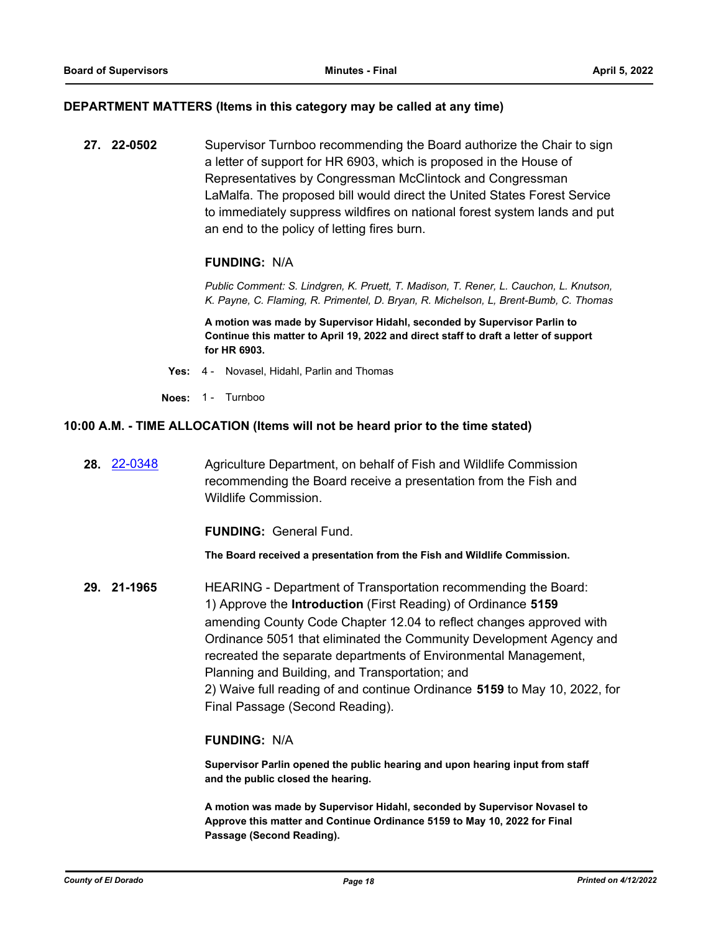### **DEPARTMENT MATTERS (Items in this category may be called at any time)**

**27. 22-0502** Supervisor Turnboo recommending the Board authorize the Chair to sign a letter of support for HR 6903, which is proposed in the House of Representatives by Congressman McClintock and Congressman LaMalfa. The proposed bill would direct the United States Forest Service to immediately suppress wildfires on national forest system lands and put an end to the policy of letting fires burn.

### **FUNDING:** N/A

*Public Comment: S. Lindgren, K. Pruett, T. Madison, T. Rener, L. Cauchon, L. Knutson, K. Payne, C. Flaming, R. Primentel, D. Bryan, R. Michelson, L, Brent-Bumb, C. Thomas*

**A motion was made by Supervisor Hidahl, seconded by Supervisor Parlin to Continue this matter to April 19, 2022 and direct staff to draft a letter of support for HR 6903.**

- **Yes:** 4 Novasel, Hidahl, Parlin and Thomas
- **Noes:** 1 Turnboo

### **10:00 A.M. - TIME ALLOCATION (Items will not be heard prior to the time stated)**

**28.** [22-0348](http://eldorado.legistar.com/gateway.aspx?m=l&id=/matter.aspx?key=31249) Agriculture Department, on behalf of Fish and Wildlife Commission recommending the Board receive a presentation from the Fish and Wildlife Commission.

**FUNDING:** General Fund.

**The Board received a presentation from the Fish and Wildlife Commission.**

**29. 21-1965** HEARING - Department of Transportation recommending the Board: 1) Approve the **Introduction** (First Reading) of Ordinance **5159** amending County Code Chapter 12.04 to reflect changes approved with Ordinance 5051 that eliminated the Community Development Agency and recreated the separate departments of Environmental Management, Planning and Building, and Transportation; and 2) Waive full reading of and continue Ordinance **5159** to May 10, 2022, for Final Passage (Second Reading).

### **FUNDING:** N/A

**Supervisor Parlin opened the public hearing and upon hearing input from staff and the public closed the hearing.**

**A motion was made by Supervisor Hidahl, seconded by Supervisor Novasel to Approve this matter and Continue Ordinance 5159 to May 10, 2022 for Final Passage (Second Reading).**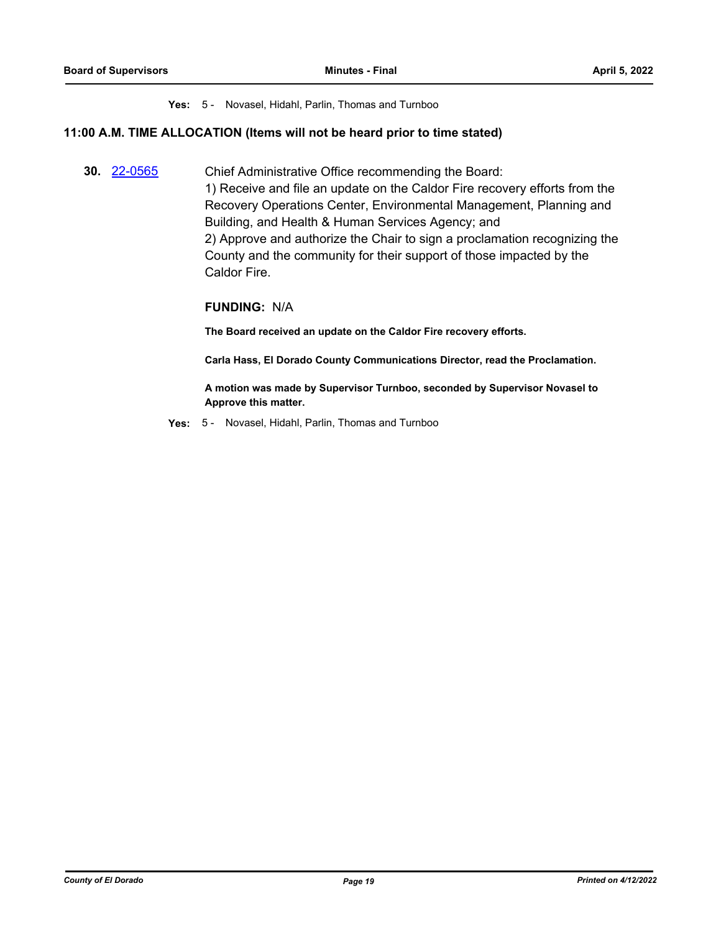### **Yes:** 5 - Novasel, Hidahl, Parlin, Thomas and Turnboo

### **11:00 A.M. TIME ALLOCATION (Items will not be heard prior to time stated)**

**30.** [22-0565](http://eldorado.legistar.com/gateway.aspx?m=l&id=/matter.aspx?key=31466) Chief Administrative Office recommending the Board: 1) Receive and file an update on the Caldor Fire recovery efforts from the Recovery Operations Center, Environmental Management, Planning and Building, and Health & Human Services Agency; and 2) Approve and authorize the Chair to sign a proclamation recognizing the County and the community for their support of those impacted by the Caldor Fire.

### **FUNDING:** N/A

**The Board received an update on the Caldor Fire recovery efforts.**

**Carla Hass, El Dorado County Communications Director, read the Proclamation.**

**A motion was made by Supervisor Turnboo, seconded by Supervisor Novasel to Approve this matter.**

**Yes:** 5 - Novasel, Hidahl, Parlin, Thomas and Turnboo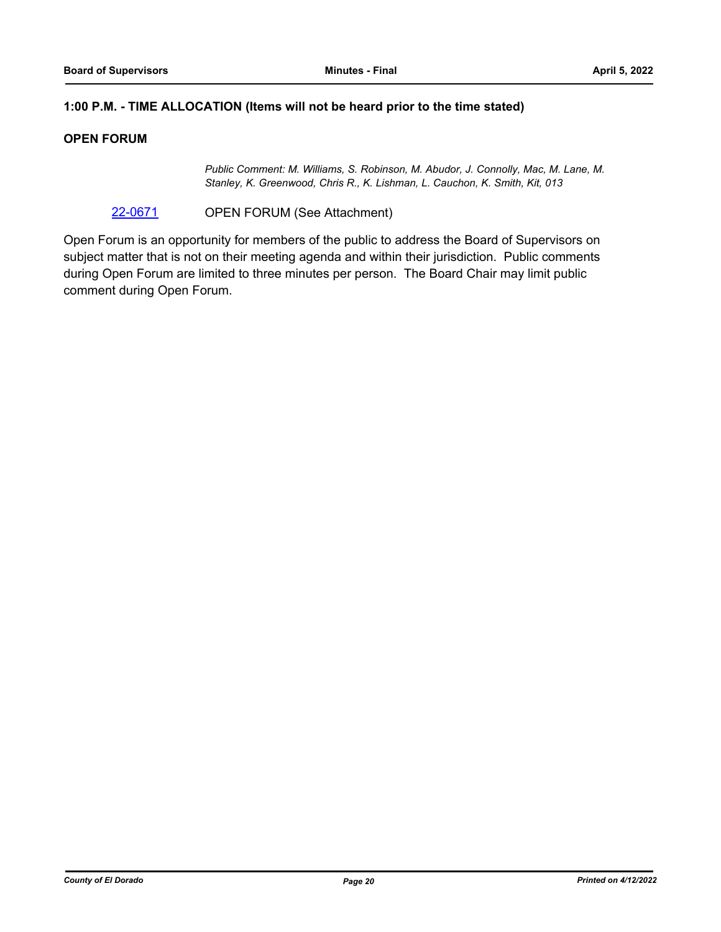### **1:00 P.M. - TIME ALLOCATION (Items will not be heard prior to the time stated)**

### **OPEN FORUM**

*Public Comment: M. Williams, S. Robinson, M. Abudor, J. Connolly, Mac, M. Lane, M. Stanley, K. Greenwood, Chris R., K. Lishman, L. Cauchon, K. Smith, Kit, 013*

[22-0671](http://eldorado.legistar.com/gateway.aspx?m=l&id=/matter.aspx?key=31572) OPEN FORUM (See Attachment)

Open Forum is an opportunity for members of the public to address the Board of Supervisors on subject matter that is not on their meeting agenda and within their jurisdiction. Public comments during Open Forum are limited to three minutes per person. The Board Chair may limit public comment during Open Forum.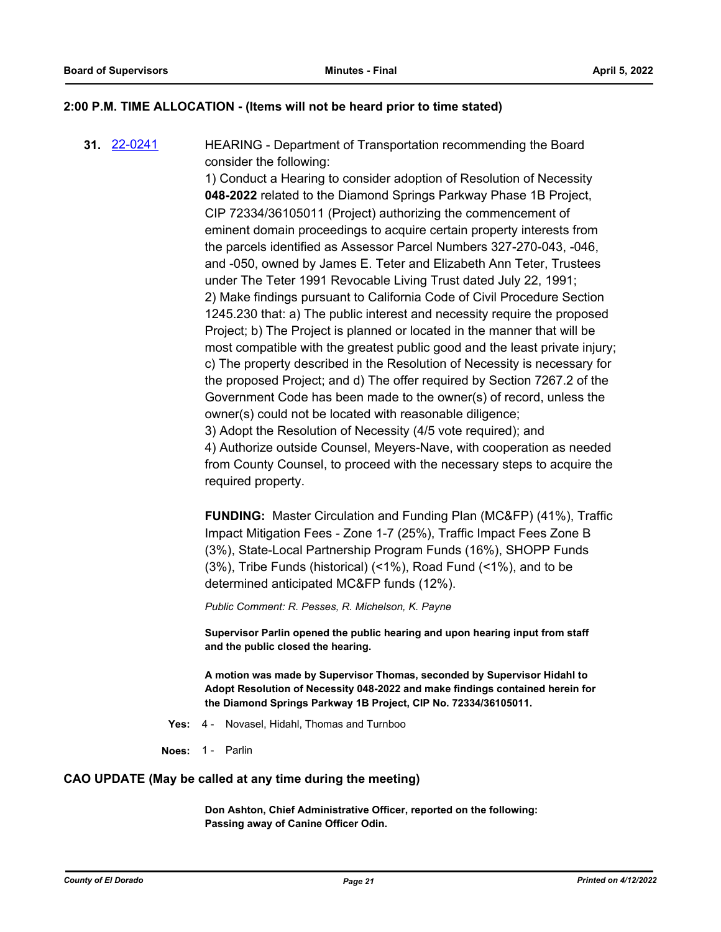### **2:00 P.M. TIME ALLOCATION - (Items will not be heard prior to time stated)**

**31.** [22-0241](http://eldorado.legistar.com/gateway.aspx?m=l&id=/matter.aspx?key=31142) HEARING - Department of Transportation recommending the Board consider the following:

1) Conduct a Hearing to consider adoption of Resolution of Necessity **048-2022** related to the Diamond Springs Parkway Phase 1B Project, CIP 72334/36105011 (Project) authorizing the commencement of eminent domain proceedings to acquire certain property interests from the parcels identified as Assessor Parcel Numbers 327-270-043, -046, and -050, owned by James E. Teter and Elizabeth Ann Teter, Trustees under The Teter 1991 Revocable Living Trust dated July 22, 1991; 2) Make findings pursuant to California Code of Civil Procedure Section 1245.230 that: a) The public interest and necessity require the proposed Project; b) The Project is planned or located in the manner that will be most compatible with the greatest public good and the least private injury; c) The property described in the Resolution of Necessity is necessary for the proposed Project; and d) The offer required by Section 7267.2 of the Government Code has been made to the owner(s) of record, unless the owner(s) could not be located with reasonable diligence; 3) Adopt the Resolution of Necessity (4/5 vote required); and 4) Authorize outside Counsel, Meyers-Nave, with cooperation as needed from County Counsel, to proceed with the necessary steps to acquire the required property.

**FUNDING:** Master Circulation and Funding Plan (MC&FP) (41%), Traffic Impact Mitigation Fees - Zone 1-7 (25%), Traffic Impact Fees Zone B (3%), State-Local Partnership Program Funds (16%), SHOPP Funds (3%), Tribe Funds (historical) (<1%), Road Fund (<1%), and to be determined anticipated MC&FP funds (12%).

*Public Comment: R. Pesses, R. Michelson, K. Payne*

**Supervisor Parlin opened the public hearing and upon hearing input from staff and the public closed the hearing.**

**A motion was made by Supervisor Thomas, seconded by Supervisor Hidahl to Adopt Resolution of Necessity 048-2022 and make findings contained herein for the Diamond Springs Parkway 1B Project, CIP No. 72334/36105011.**

- **Yes:** 4 Novasel, Hidahl, Thomas and Turnboo
- **Noes:** 1 Parlin

### **CAO UPDATE (May be called at any time during the meeting)**

**Don Ashton, Chief Administrative Officer, reported on the following: Passing away of Canine Officer Odin.**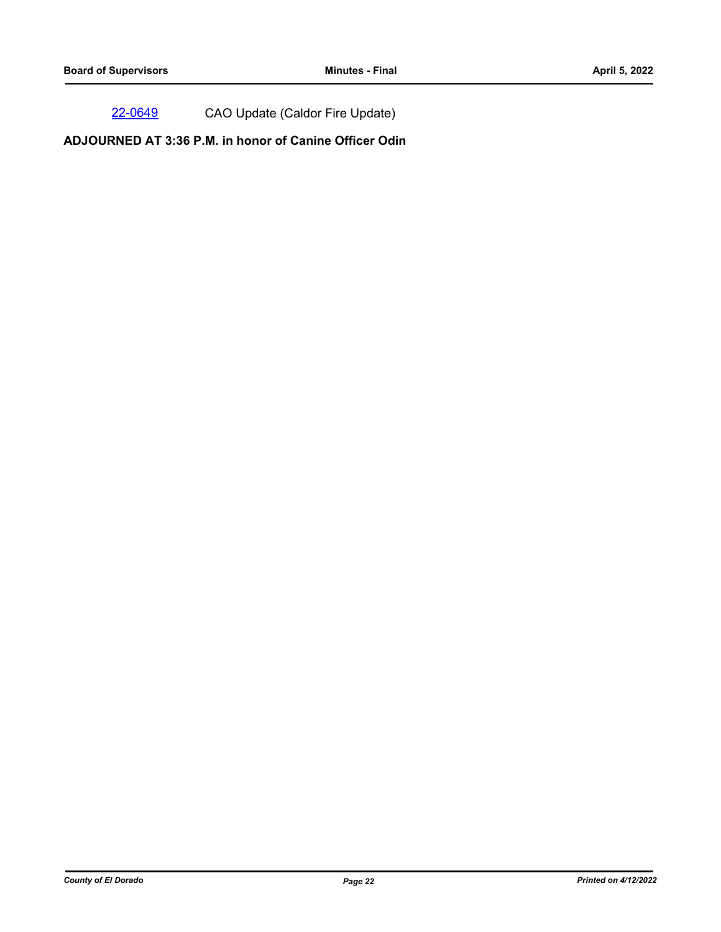[22-0649](http://eldorado.legistar.com/gateway.aspx?m=l&id=/matter.aspx?key=31550) CAO Update (Caldor Fire Update)

**ADJOURNED AT 3:36 P.M. in honor of Canine Officer Odin**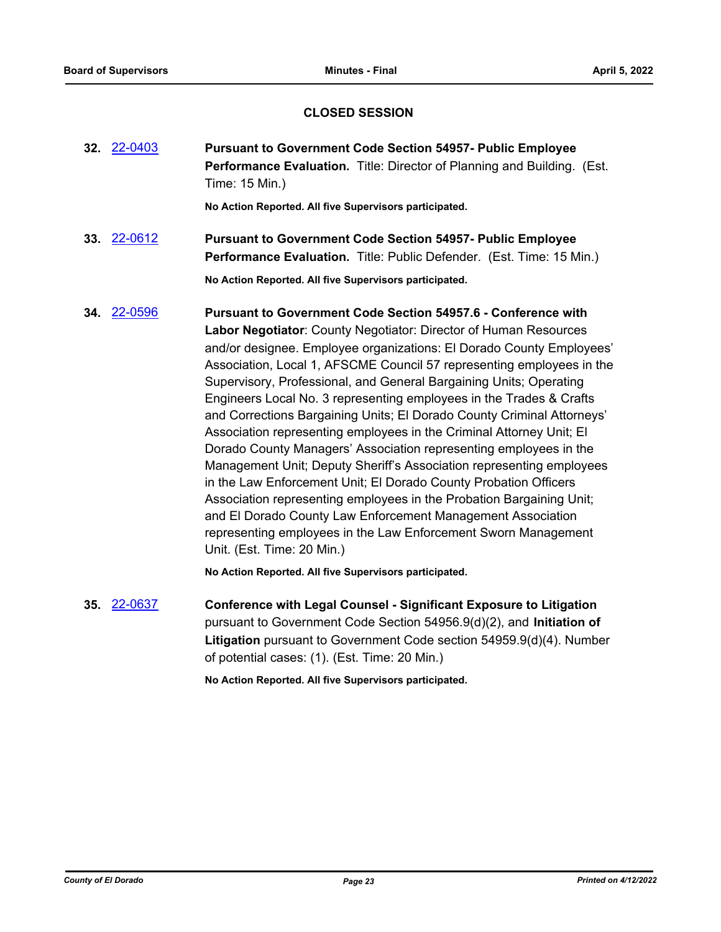### **CLOSED SESSION**

**32.** [22-0403](http://eldorado.legistar.com/gateway.aspx?m=l&id=/matter.aspx?key=31304) **Pursuant to Government Code Section 54957- Public Employee Performance Evaluation.** Title: Director of Planning and Building. (Est. Time: 15 Min.)

**No Action Reported. All five Supervisors participated.**

**33.** [22-0612](http://eldorado.legistar.com/gateway.aspx?m=l&id=/matter.aspx?key=31513) **Pursuant to Government Code Section 54957- Public Employee Performance Evaluation.** Title: Public Defender. (Est. Time: 15 Min.)

**No Action Reported. All five Supervisors participated.**

**34.** [22-0596](http://eldorado.legistar.com/gateway.aspx?m=l&id=/matter.aspx?key=31497) **Pursuant to Government Code Section 54957.6 - Conference with Labor Negotiator**: County Negotiator: Director of Human Resources and/or designee. Employee organizations: El Dorado County Employees' Association, Local 1, AFSCME Council 57 representing employees in the Supervisory, Professional, and General Bargaining Units; Operating Engineers Local No. 3 representing employees in the Trades & Crafts and Corrections Bargaining Units; El Dorado County Criminal Attorneys' Association representing employees in the Criminal Attorney Unit; El Dorado County Managers' Association representing employees in the Management Unit; Deputy Sheriff's Association representing employees in the Law Enforcement Unit; El Dorado County Probation Officers Association representing employees in the Probation Bargaining Unit; and El Dorado County Law Enforcement Management Association representing employees in the Law Enforcement Sworn Management Unit. (Est. Time: 20 Min.)

**No Action Reported. All five Supervisors participated.**

**35.** [22-0637](http://eldorado.legistar.com/gateway.aspx?m=l&id=/matter.aspx?key=31538) **Conference with Legal Counsel - Significant Exposure to Litigation** pursuant to Government Code Section 54956.9(d)(2), and **Initiation of Litigation** pursuant to Government Code section 54959.9(d)(4). Number of potential cases: (1). (Est. Time: 20 Min.)

**No Action Reported. All five Supervisors participated.**